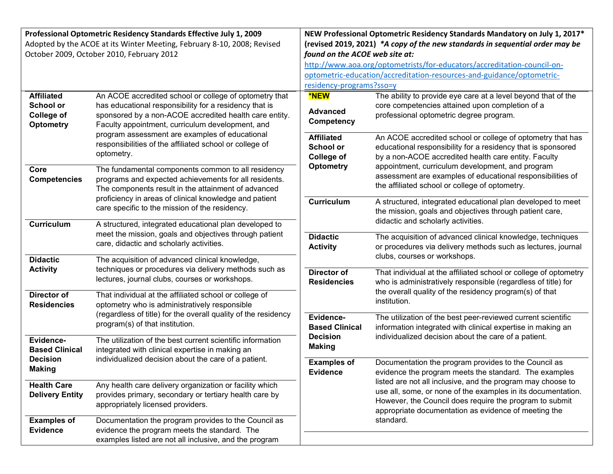| Professional Optometric Residency Standards Effective July 1, 2009      |                                                                                                         | NEW Professional Optometric Residency Standards Mandatory on July 1, 2017*   |                                                                         |
|-------------------------------------------------------------------------|---------------------------------------------------------------------------------------------------------|------------------------------------------------------------------------------|-------------------------------------------------------------------------|
| Adopted by the ACOE at its Winter Meeting, February 8-10, 2008; Revised |                                                                                                         | (revised 2019, 2021) *A copy of the new standards in sequential order may be |                                                                         |
| October 2009, October 2010, February 2012                               |                                                                                                         | found on the ACOE web site at:                                               |                                                                         |
|                                                                         |                                                                                                         |                                                                              | http://www.aoa.org/optometrists/for-educators/accreditation-council-on- |
|                                                                         |                                                                                                         |                                                                              | optometric-education/accreditation-resources-and-guidance/optometric-   |
|                                                                         |                                                                                                         | residency-programs?sso=y                                                     |                                                                         |
| <b>Affiliated</b>                                                       | An ACOE accredited school or college of optometry that                                                  | <b>*NEW</b>                                                                  | The ability to provide eye care at a level beyond that of the           |
| <b>School or</b>                                                        | has educational responsibility for a residency that is                                                  |                                                                              | core competencies attained upon completion of a                         |
| <b>College of</b>                                                       | sponsored by a non-ACOE accredited health care entity.                                                  | <b>Advanced</b>                                                              | professional optometric degree program.                                 |
| <b>Optometry</b>                                                        | Faculty appointment, curriculum development, and                                                        | Competency                                                                   |                                                                         |
|                                                                         | program assessment are examples of educational                                                          | <b>Affiliated</b>                                                            | An ACOE accredited school or college of optometry that has              |
|                                                                         | responsibilities of the affiliated school or college of                                                 | <b>School or</b>                                                             | educational responsibility for a residency that is sponsored            |
|                                                                         | optometry.                                                                                              | <b>College of</b>                                                            | by a non-ACOE accredited health care entity. Faculty                    |
| Core                                                                    | The fundamental components common to all residency                                                      | <b>Optometry</b>                                                             | appointment, curriculum development, and program                        |
| <b>Competencies</b>                                                     | programs and expected achievements for all residents.                                                   |                                                                              | assessment are examples of educational responsibilities of              |
|                                                                         | The components result in the attainment of advanced                                                     |                                                                              | the affiliated school or college of optometry.                          |
|                                                                         | proficiency in areas of clinical knowledge and patient                                                  | <b>Curriculum</b>                                                            | A structured, integrated educational plan developed to meet             |
|                                                                         | care specific to the mission of the residency.                                                          |                                                                              | the mission, goals and objectives through patient care,                 |
|                                                                         |                                                                                                         |                                                                              | didactic and scholarly activities.                                      |
| Curriculum                                                              | A structured, integrated educational plan developed to                                                  |                                                                              |                                                                         |
|                                                                         | meet the mission, goals and objectives through patient                                                  | <b>Didactic</b>                                                              | The acquisition of advanced clinical knowledge, techniques              |
|                                                                         | care, didactic and scholarly activities.                                                                | <b>Activity</b>                                                              | or procedures via delivery methods such as lectures, journal            |
| <b>Didactic</b>                                                         | The acquisition of advanced clinical knowledge,                                                         |                                                                              | clubs, courses or workshops.                                            |
| <b>Activity</b>                                                         | techniques or procedures via delivery methods such as                                                   | <b>Director of</b>                                                           | That individual at the affiliated school or college of optometry        |
|                                                                         | lectures, journal clubs, courses or workshops.                                                          | <b>Residencies</b>                                                           | who is administratively responsible (regardless of title) for           |
| Director of                                                             |                                                                                                         |                                                                              | the overall quality of the residency program(s) of that                 |
| <b>Residencies</b>                                                      | That individual at the affiliated school or college of<br>optometry who is administratively responsible |                                                                              | institution.                                                            |
|                                                                         | (regardless of title) for the overall quality of the residency                                          |                                                                              |                                                                         |
|                                                                         | program(s) of that institution.                                                                         | Evidence-                                                                    | The utilization of the best peer-reviewed current scientific            |
|                                                                         |                                                                                                         | <b>Based Clinical</b>                                                        | information integrated with clinical expertise in making an             |
| Evidence-                                                               | The utilization of the best current scientific information                                              | <b>Decision</b><br><b>Making</b>                                             | individualized decision about the care of a patient.                    |
| <b>Based Clinical</b>                                                   | integrated with clinical expertise in making an                                                         |                                                                              |                                                                         |
| <b>Decision</b>                                                         | individualized decision about the care of a patient.                                                    | <b>Examples of</b>                                                           | Documentation the program provides to the Council as                    |
| <b>Making</b>                                                           |                                                                                                         | <b>Evidence</b>                                                              | evidence the program meets the standard. The examples                   |
| <b>Health Care</b>                                                      | Any health care delivery organization or facility which                                                 |                                                                              | listed are not all inclusive, and the program may choose to             |
| <b>Delivery Entity</b>                                                  | provides primary, secondary or tertiary health care by                                                  |                                                                              | use all, some, or none of the examples in its documentation.            |
|                                                                         | appropriately licensed providers.                                                                       |                                                                              | However, the Council does require the program to submit                 |
|                                                                         |                                                                                                         |                                                                              | appropriate documentation as evidence of meeting the                    |
| <b>Examples of</b>                                                      | Documentation the program provides to the Council as                                                    |                                                                              | standard.                                                               |
| <b>Evidence</b>                                                         | evidence the program meets the standard. The                                                            |                                                                              |                                                                         |
|                                                                         | examples listed are not all inclusive, and the program                                                  |                                                                              |                                                                         |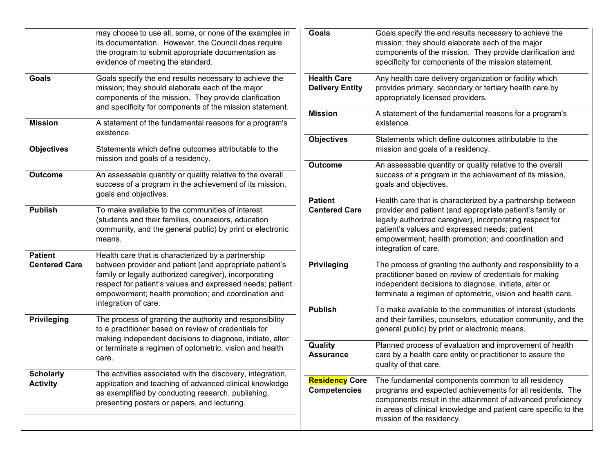|                                     | may choose to use all, some, or none of the examples in<br>its documentation. However, the Council does require<br>the program to submit appropriate documentation as<br>evidence of meeting the standard.                                                    | <b>Goals</b>                                 | Goals specify the end results necessary to achieve the<br>mission; they should elaborate each of the major<br>components of the mission. They provide clarification and<br>specificity for components of the mission statement.                                                                                     |
|-------------------------------------|---------------------------------------------------------------------------------------------------------------------------------------------------------------------------------------------------------------------------------------------------------------|----------------------------------------------|---------------------------------------------------------------------------------------------------------------------------------------------------------------------------------------------------------------------------------------------------------------------------------------------------------------------|
| <b>Goals</b>                        | Goals specify the end results necessary to achieve the<br>mission; they should elaborate each of the major<br>components of the mission. They provide clarification<br>and specificity for components of the mission statement.                               | <b>Health Care</b><br><b>Delivery Entity</b> | Any health care delivery organization or facility which<br>provides primary, secondary or tertiary health care by<br>appropriately licensed providers.                                                                                                                                                              |
| <b>Mission</b>                      | A statement of the fundamental reasons for a program's<br>existence.                                                                                                                                                                                          | <b>Mission</b>                               | A statement of the fundamental reasons for a program's<br>existence.                                                                                                                                                                                                                                                |
| <b>Objectives</b>                   | Statements which define outcomes attributable to the<br>mission and goals of a residency.                                                                                                                                                                     | <b>Objectives</b>                            | Statements which define outcomes attributable to the<br>mission and goals of a residency.                                                                                                                                                                                                                           |
| <b>Outcome</b>                      | An assessable quantity or quality relative to the overall<br>success of a program in the achievement of its mission,<br>goals and objectives.                                                                                                                 | <b>Outcome</b>                               | An assessable quantity or quality relative to the overall<br>success of a program in the achievement of its mission,<br>goals and objectives.                                                                                                                                                                       |
| <b>Publish</b><br><b>Patient</b>    | To make available to the communities of interest<br>(students and their families, counselors, education<br>community, and the general public) by print or electronic<br>means.<br>Health care that is characterized by a partnership                          | <b>Patient</b><br><b>Centered Care</b>       | Health care that is characterized by a partnership between<br>provider and patient (and appropriate patient's family or<br>legally authorized caregiver), incorporating respect for<br>patient's values and expressed needs; patient<br>empowerment; health promotion; and coordination and<br>integration of care. |
| <b>Centered Care</b>                | between provider and patient (and appropriate patient's<br>family or legally authorized caregiver), incorporating<br>respect for patient's values and expressed needs; patient<br>empowerment; health promotion; and coordination and<br>integration of care. | Privileging                                  | The process of granting the authority and responsibility to a<br>practitioner based on review of credentials for making<br>independent decisions to diagnose, initiate, alter or<br>terminate a regimen of optometric, vision and health care.                                                                      |
| Privileging                         | The process of granting the authority and responsibility<br>to a practitioner based on review of credentials for<br>making independent decisions to diagnose, initiate, alter                                                                                 | <b>Publish</b>                               | To make available to the communities of interest (students<br>and their families, counselors, education community, and the<br>general public) by print or electronic means.                                                                                                                                         |
|                                     | or terminate a regimen of optometric, vision and health<br>care.                                                                                                                                                                                              | Quality<br><b>Assurance</b>                  | Planned process of evaluation and improvement of health<br>care by a health care entity or practitioner to assure the<br>quality of that care.                                                                                                                                                                      |
| <b>Scholarly</b><br><b>Activity</b> | The activities associated with the discovery, integration,<br>application and teaching of advanced clinical knowledge<br>as exemplified by conducting research, publishing,<br>presenting posters or papers, and lecturing.                                   | <b>Residency Core</b><br><b>Competencies</b> | The fundamental components common to all residency<br>programs and expected achievements for all residents. The<br>components result in the attainment of advanced proficiency<br>in areas of clinical knowledge and patient care specific to the<br>mission of the residency.                                      |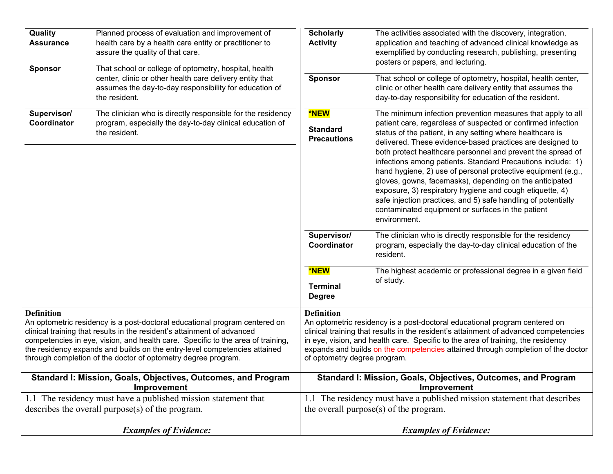| Quality<br><b>Assurance</b><br><b>Sponsor</b> | Planned process of evaluation and improvement of<br>health care by a health care entity or practitioner to<br>assure the quality of that care.<br>That school or college of optometry, hospital, health                                                                                                                                                                                | <b>Scholarly</b><br><b>Activity</b>                                                                                                                                                                                                                                                                                                                                                             | The activities associated with the discovery, integration,<br>application and teaching of advanced clinical knowledge as<br>exemplified by conducting research, publishing, presenting<br>posters or papers, and lecturing.                                                                                                                                                              |
|-----------------------------------------------|----------------------------------------------------------------------------------------------------------------------------------------------------------------------------------------------------------------------------------------------------------------------------------------------------------------------------------------------------------------------------------------|-------------------------------------------------------------------------------------------------------------------------------------------------------------------------------------------------------------------------------------------------------------------------------------------------------------------------------------------------------------------------------------------------|------------------------------------------------------------------------------------------------------------------------------------------------------------------------------------------------------------------------------------------------------------------------------------------------------------------------------------------------------------------------------------------|
|                                               | center, clinic or other health care delivery entity that<br>assumes the day-to-day responsibility for education of<br>the resident.                                                                                                                                                                                                                                                    | Sponsor                                                                                                                                                                                                                                                                                                                                                                                         | That school or college of optometry, hospital, health center,<br>clinic or other health care delivery entity that assumes the<br>day-to-day responsibility for education of the resident.                                                                                                                                                                                                |
| Supervisor/<br>Coordinator                    | The clinician who is directly responsible for the residency<br>program, especially the day-to-day clinical education of<br>the resident.                                                                                                                                                                                                                                               | <b>*NEW</b><br><b>Standard</b><br><b>Precautions</b>                                                                                                                                                                                                                                                                                                                                            | The minimum infection prevention measures that apply to all<br>patient care, regardless of suspected or confirmed infection<br>status of the patient, in any setting where healthcare is<br>delivered. These evidence-based practices are designed to<br>both protect healthcare personnel and prevent the spread of                                                                     |
|                                               |                                                                                                                                                                                                                                                                                                                                                                                        |                                                                                                                                                                                                                                                                                                                                                                                                 | infections among patients. Standard Precautions include: 1)<br>hand hygiene, 2) use of personal protective equipment (e.g.,<br>gloves, gowns, facemasks), depending on the anticipated<br>exposure, 3) respiratory hygiene and cough etiquette, 4)<br>safe injection practices, and 5) safe handling of potentially<br>contaminated equipment or surfaces in the patient<br>environment. |
|                                               |                                                                                                                                                                                                                                                                                                                                                                                        | Supervisor/<br>Coordinator                                                                                                                                                                                                                                                                                                                                                                      | The clinician who is directly responsible for the residency<br>program, especially the day-to-day clinical education of the<br>resident.                                                                                                                                                                                                                                                 |
|                                               |                                                                                                                                                                                                                                                                                                                                                                                        | <b>*NEW</b><br><b>Terminal</b><br><b>Degree</b>                                                                                                                                                                                                                                                                                                                                                 | The highest academic or professional degree in a given field<br>of study.                                                                                                                                                                                                                                                                                                                |
| <b>Definition</b>                             | An optometric residency is a post-doctoral educational program centered on<br>clinical training that results in the resident's attainment of advanced<br>competencies in eye, vision, and health care. Specific to the area of training,<br>the residency expands and builds on the entry-level competencies attained<br>through completion of the doctor of optometry degree program. | <b>Definition</b><br>An optometric residency is a post-doctoral educational program centered on<br>clinical training that results in the resident's attainment of advanced competencies<br>in eye, vision, and health care. Specific to the area of training, the residency<br>expands and builds on the competencies attained through completion of the doctor<br>of optometry degree program. |                                                                                                                                                                                                                                                                                                                                                                                          |
|                                               | Standard I: Mission, Goals, Objectives, Outcomes, and Program<br>Improvement                                                                                                                                                                                                                                                                                                           |                                                                                                                                                                                                                                                                                                                                                                                                 | Standard I: Mission, Goals, Objectives, Outcomes, and Program<br>Improvement                                                                                                                                                                                                                                                                                                             |
|                                               | 1.1 The residency must have a published mission statement that<br>describes the overall purpose $(s)$ of the program.                                                                                                                                                                                                                                                                  | 1.1 The residency must have a published mission statement that describes<br>the overall purpose(s) of the program.                                                                                                                                                                                                                                                                              |                                                                                                                                                                                                                                                                                                                                                                                          |
|                                               | <b>Examples of Evidence:</b>                                                                                                                                                                                                                                                                                                                                                           |                                                                                                                                                                                                                                                                                                                                                                                                 | <b>Examples of Evidence:</b>                                                                                                                                                                                                                                                                                                                                                             |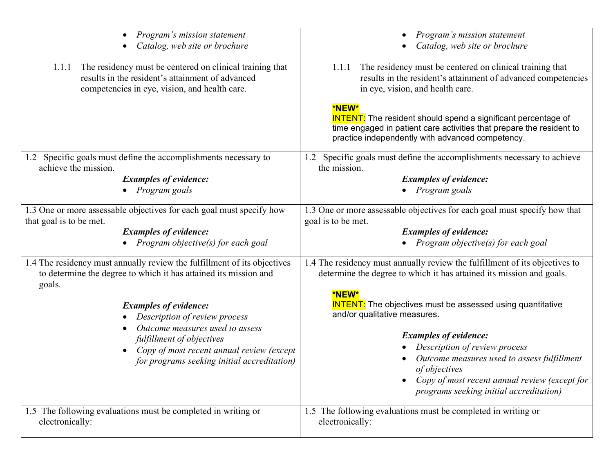| Program's mission statement<br>$\bullet$<br>Catalog, web site or brochure<br>$\bullet$                                                                                 | Program's mission statement<br>Catalog, web site or brochure                                                                                                                                              |
|------------------------------------------------------------------------------------------------------------------------------------------------------------------------|-----------------------------------------------------------------------------------------------------------------------------------------------------------------------------------------------------------|
| The residency must be centered on clinical training that<br>1.1.1<br>results in the resident's attainment of advanced<br>competencies in eye, vision, and health care. | The residency must be centered on clinical training that<br>1.1.1<br>results in the resident's attainment of advanced competencies<br>in eye, vision, and health care.                                    |
|                                                                                                                                                                        | *NEW*<br><b>INTENT:</b> The resident should spend a significant percentage of<br>time engaged in patient care activities that prepare the resident to<br>practice independently with advanced competency. |
| Specific goals must define the accomplishments necessary to<br>1.2<br>achieve the mission.                                                                             | 1.2 Specific goals must define the accomplishments necessary to achieve<br>the mission.                                                                                                                   |
| <b>Examples of evidence:</b>                                                                                                                                           | <b>Examples of evidence:</b>                                                                                                                                                                              |
| • Program goals                                                                                                                                                        | • Program goals                                                                                                                                                                                           |
| 1.3 One or more assessable objectives for each goal must specify how<br>that goal is to be met.                                                                        | 1.3 One or more assessable objectives for each goal must specify how that<br>goal is to be met.                                                                                                           |
| <b>Examples of evidence:</b>                                                                                                                                           | <b>Examples of evidence:</b>                                                                                                                                                                              |
| Program objective(s) for each goal                                                                                                                                     | • Program objective(s) for each goal                                                                                                                                                                      |
| 1.4 The residency must annually review the fulfillment of its objectives<br>to determine the degree to which it has attained its mission and<br>goals.                 | 1.4 The residency must annually review the fulfillment of its objectives to<br>determine the degree to which it has attained its mission and goals.                                                       |
| <b>Examples of evidence:</b><br>Description of review process                                                                                                          | *NEW*<br><b>INTENT:</b> The objectives must be assessed using quantitative<br>and/or qualitative measures.                                                                                                |
| Outcome measures used to assess<br>fulfillment of objectives                                                                                                           | <b>Examples of evidence:</b>                                                                                                                                                                              |
| Copy of most recent annual review (except<br>$\bullet$                                                                                                                 | Description of review process                                                                                                                                                                             |
| for programs seeking initial accreditation)                                                                                                                            | Outcome measures used to assess fulfillment                                                                                                                                                               |
|                                                                                                                                                                        | of objectives                                                                                                                                                                                             |
|                                                                                                                                                                        | Copy of most recent annual review (except for<br>programs seeking initial accreditation)                                                                                                                  |
| 1.5 The following evaluations must be completed in writing or<br>electronically:                                                                                       | 1.5 The following evaluations must be completed in writing or<br>electronically:                                                                                                                          |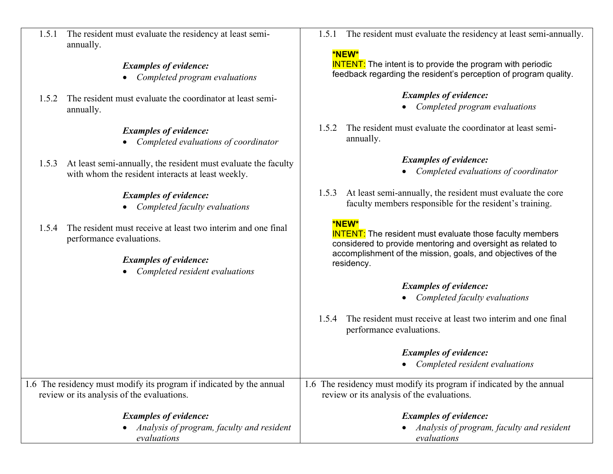| 1.5.1 The resident must evaluate the residency at least semi- |
|---------------------------------------------------------------|
| annually.                                                     |

## *Examples of evidence:*

- *Completed program evaluations*
- 1.5.2 The resident must evaluate the coordinator at least semiannually.

## *Examples of evidence:*

- *Completed evaluations of coordinator*
- 1.5.3 At least semi-annually, the resident must evaluate the faculty with whom the resident interacts at least weekly.

## *Examples of evidence:*

- *Completed faculty evaluations*
- 1.5.4 The resident must receive at least two interim and one final performance evaluations.

## *Examples of evidence:*

• *Completed resident evaluations*

1.5.1 The resident must evaluate the residency at least semi-annually.

### **\*NEW\***

**INTENT:** The intent is to provide the program with periodic feedback regarding the resident's perception of program quality.

## *Examples of evidence:*

- *Completed program evaluations*
- 1.5.2 The resident must evaluate the coordinator at least semiannually.

## *Examples of evidence:*

- *Completed evaluations of coordinator*
- 1.5.3 At least semi-annually, the resident must evaluate the core faculty members responsible for the resident's training.

## **\*NEW\***

**INTENT:** The resident must evaluate those faculty members considered to provide mentoring and oversight as related to accomplishment of the mission, goals, and objectives of the residency.

# *Examples of evidence:*

- *Completed faculty evaluations*
- 1.5.4 The resident must receive at least two interim and one final performance evaluations.

# *Examples of evidence:*

• *Completed resident evaluations*

|                                                                      | Completed resident evaluations                                       |  |
|----------------------------------------------------------------------|----------------------------------------------------------------------|--|
| 1.6 The residency must modify its program if indicated by the annual | 1.6 The residency must modify its program if indicated by the annual |  |
| review or its analysis of the evaluations.                           | review or its analysis of the evaluations.                           |  |
| <b>Examples of evidence:</b>                                         | <b>Examples of evidence:</b>                                         |  |
| • Analysis of program, faculty and resident                          | Analysis of program, faculty and resident                            |  |
| evaluations                                                          | evaluations                                                          |  |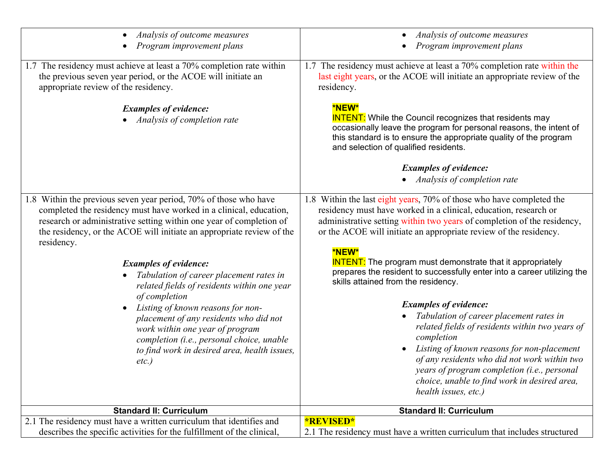| Analysis of outcome measures<br>Program improvement plans                                                                                                                                                                                                                                                                                                                                                                                                                                                                                                                                                                   | Analysis of outcome measures<br>Program improvement plans                                                                                                                                                                                                                                                                                                                                                                                                                                                                                                                                                                            |
|-----------------------------------------------------------------------------------------------------------------------------------------------------------------------------------------------------------------------------------------------------------------------------------------------------------------------------------------------------------------------------------------------------------------------------------------------------------------------------------------------------------------------------------------------------------------------------------------------------------------------------|--------------------------------------------------------------------------------------------------------------------------------------------------------------------------------------------------------------------------------------------------------------------------------------------------------------------------------------------------------------------------------------------------------------------------------------------------------------------------------------------------------------------------------------------------------------------------------------------------------------------------------------|
| 1.7 The residency must achieve at least a 70% completion rate within<br>the previous seven year period, or the ACOE will initiate an<br>appropriate review of the residency.                                                                                                                                                                                                                                                                                                                                                                                                                                                | 1.7 The residency must achieve at least a 70% completion rate within the<br>last eight years, or the ACOE will initiate an appropriate review of the<br>residency.                                                                                                                                                                                                                                                                                                                                                                                                                                                                   |
| <b>Examples of evidence:</b><br>Analysis of completion rate                                                                                                                                                                                                                                                                                                                                                                                                                                                                                                                                                                 | <b>*NEW*</b><br><b>INTENT:</b> While the Council recognizes that residents may<br>occasionally leave the program for personal reasons, the intent of<br>this standard is to ensure the appropriate quality of the program<br>and selection of qualified residents.                                                                                                                                                                                                                                                                                                                                                                   |
|                                                                                                                                                                                                                                                                                                                                                                                                                                                                                                                                                                                                                             | <b>Examples of evidence:</b><br>Analysis of completion rate                                                                                                                                                                                                                                                                                                                                                                                                                                                                                                                                                                          |
| 1.8 Within the previous seven year period, 70% of those who have<br>completed the residency must have worked in a clinical, education,<br>research or administrative setting within one year of completion of<br>the residency, or the ACOE will initiate an appropriate review of the<br>residency.<br><b>Examples of evidence:</b><br>Tabulation of career placement rates in<br>related fields of residents within one year<br>of completion<br>Listing of known reasons for non-<br>$\bullet$<br>placement of any residents who did not<br>work within one year of program<br>completion (i.e., personal choice, unable | 1.8 Within the last eight years, 70% of those who have completed the<br>residency must have worked in a clinical, education, research or<br>administrative setting within two years of completion of the residency,<br>or the ACOE will initiate an appropriate review of the residency.<br>*NEW*<br><b>INTENT:</b> The program must demonstrate that it appropriately<br>prepares the resident to successfully enter into a career utilizing the<br>skills attained from the residency.<br><b>Examples of evidence:</b><br>Tabulation of career placement rates in<br>related fields of residents within two years of<br>completion |
| to find work in desired area, health issues,<br>etc.                                                                                                                                                                                                                                                                                                                                                                                                                                                                                                                                                                        | Listing of known reasons for non-placement<br>of any residents who did not work within two<br>years of program completion (i.e., personal<br>choice, unable to find work in desired area,<br>health issues, etc.)                                                                                                                                                                                                                                                                                                                                                                                                                    |
| <b>Standard II: Curriculum</b>                                                                                                                                                                                                                                                                                                                                                                                                                                                                                                                                                                                              | <b>Standard II: Curriculum</b>                                                                                                                                                                                                                                                                                                                                                                                                                                                                                                                                                                                                       |
| 2.1 The residency must have a written curriculum that identifies and<br>describes the specific activities for the fulfillment of the clinical,                                                                                                                                                                                                                                                                                                                                                                                                                                                                              | <b>*REVISED*</b><br>2.1 The residency must have a written curriculum that includes structured                                                                                                                                                                                                                                                                                                                                                                                                                                                                                                                                        |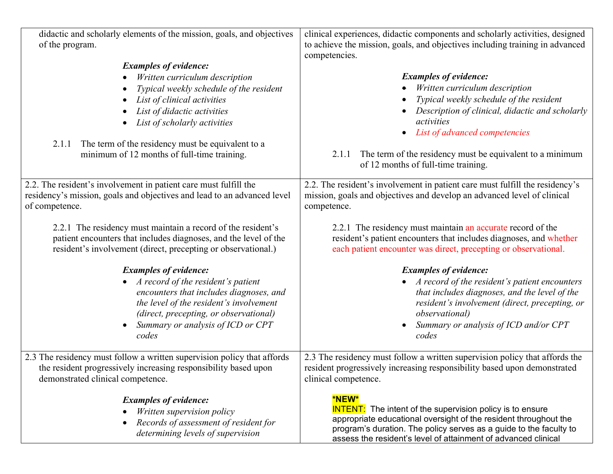| didactic and scholarly elements of the mission, goals, and objectives<br>of the program.                                                                                                                                                                                                                                          | clinical experiences, didactic components and scholarly activities, designed<br>to achieve the mission, goals, and objectives including training in advanced<br>competencies.                                                                                                                                            |
|-----------------------------------------------------------------------------------------------------------------------------------------------------------------------------------------------------------------------------------------------------------------------------------------------------------------------------------|--------------------------------------------------------------------------------------------------------------------------------------------------------------------------------------------------------------------------------------------------------------------------------------------------------------------------|
| <b>Examples of evidence:</b><br>Written curriculum description<br>Typical weekly schedule of the resident<br>List of clinical activities<br>$\bullet$<br>List of didactic activities<br>List of scholarly activities<br>The term of the residency must be equivalent to a<br>2.1.1<br>minimum of 12 months of full-time training. | <b>Examples of evidence:</b><br>Written curriculum description<br>Typical weekly schedule of the resident<br>Description of clinical, didactic and scholarly<br>activities<br>List of advanced competencies<br>The term of the residency must be equivalent to a minimum<br>2.1.1<br>of 12 months of full-time training. |
| 2.2. The resident's involvement in patient care must fulfill the<br>residency's mission, goals and objectives and lead to an advanced level<br>of competence.                                                                                                                                                                     | 2.2. The resident's involvement in patient care must fulfill the residency's<br>mission, goals and objectives and develop an advanced level of clinical<br>competence.                                                                                                                                                   |
| 2.2.1 The residency must maintain a record of the resident's<br>patient encounters that includes diagnoses, and the level of the<br>resident's involvement (direct, precepting or observational.)                                                                                                                                 | 2.2.1 The residency must maintain an accurate record of the<br>resident's patient encounters that includes diagnoses, and whether<br>each patient encounter was direct, precepting or observational.                                                                                                                     |
| <b>Examples of evidence:</b><br>A record of the resident's patient<br>$\bullet$<br>encounters that includes diagnoses, and<br>the level of the resident's involvement<br>(direct, precepting, or observational)<br>Summary or analysis of ICD or CPT<br>codes                                                                     | <b>Examples of evidence:</b><br>A record of the resident's patient encounters<br>that includes diagnoses, and the level of the<br>resident's involvement (direct, precepting, or<br><i>observational</i> )<br>Summary or analysis of ICD and/or CPT<br>codes                                                             |
| 2.3 The residency must follow a written supervision policy that affords<br>the resident progressively increasing responsibility based upon<br>demonstrated clinical competence.                                                                                                                                                   | 2.3 The residency must follow a written supervision policy that affords the<br>resident progressively increasing responsibility based upon demonstrated<br>clinical competence.                                                                                                                                          |
| <b>Examples of evidence:</b><br>Written supervision policy<br>Records of assessment of resident for<br>determining levels of supervision                                                                                                                                                                                          | <b>*NEW*</b><br><b>INTENT:</b> The intent of the supervision policy is to ensure<br>appropriate educational oversight of the resident throughout the<br>program's duration. The policy serves as a guide to the faculty to<br>assess the resident's level of attainment of advanced clinical                             |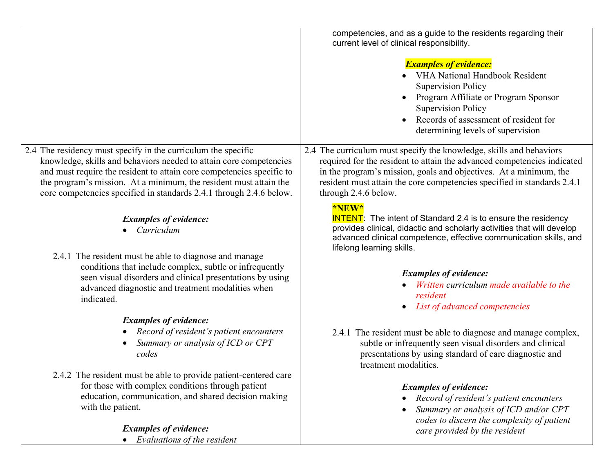|                                                                                                      | competencies, and as a guide to the residents regarding their<br>current level of clinical responsibility.<br><b>Examples of evidence:</b><br><b>VHA National Handbook Resident</b><br><b>Supervision Policy</b><br>Program Affiliate or Program Sponsor<br><b>Supervision Policy</b><br>Records of assessment of resident for<br>determining levels of supervision |
|------------------------------------------------------------------------------------------------------|---------------------------------------------------------------------------------------------------------------------------------------------------------------------------------------------------------------------------------------------------------------------------------------------------------------------------------------------------------------------|
| 2.4 The residency must specify in the curriculum the specific                                        | 2.4 The curriculum must specify the knowledge, skills and behaviors                                                                                                                                                                                                                                                                                                 |
| knowledge, skills and behaviors needed to attain core competencies                                   | required for the resident to attain the advanced competencies indicated                                                                                                                                                                                                                                                                                             |
| and must require the resident to attain core competencies specific to                                | in the program's mission, goals and objectives. At a minimum, the                                                                                                                                                                                                                                                                                                   |
| the program's mission. At a minimum, the resident must attain the                                    | resident must attain the core competencies specified in standards 2.4.1                                                                                                                                                                                                                                                                                             |
| core competencies specified in standards 2.4.1 through 2.4.6 below.                                  | through 2.4.6 below.                                                                                                                                                                                                                                                                                                                                                |
| <b>Examples of evidence:</b><br>Curriculum<br>2.4.1 The resident must be able to diagnose and manage | *NEW*<br><b>INTENT:</b> The intent of Standard 2.4 is to ensure the residency<br>provides clinical, didactic and scholarly activities that will develop<br>advanced clinical competence, effective communication skills, and<br>lifelong learning skills.                                                                                                           |
| conditions that include complex, subtle or infrequently                                              | <b>Examples of evidence:</b>                                                                                                                                                                                                                                                                                                                                        |
| seen visual disorders and clinical presentations by using                                            | Written curriculum made available to the                                                                                                                                                                                                                                                                                                                            |
| advanced diagnostic and treatment modalities when                                                    | resident                                                                                                                                                                                                                                                                                                                                                            |
| indicated.                                                                                           | List of advanced competencies                                                                                                                                                                                                                                                                                                                                       |
| <b>Examples of evidence:</b>                                                                         | 2.4.1 The resident must be able to diagnose and manage complex,                                                                                                                                                                                                                                                                                                     |
| Record of resident's patient encounters                                                              | subtle or infrequently seen visual disorders and clinical                                                                                                                                                                                                                                                                                                           |
| Summary or analysis of ICD or CPT                                                                    | presentations by using standard of care diagnostic and                                                                                                                                                                                                                                                                                                              |
| codes                                                                                                | treatment modalities.                                                                                                                                                                                                                                                                                                                                               |
| 2.4.2 The resident must be able to provide patient-centered care                                     | <b>Examples of evidence:</b>                                                                                                                                                                                                                                                                                                                                        |
| for those with complex conditions through patient                                                    | Record of resident's patient encounters                                                                                                                                                                                                                                                                                                                             |
| education, communication, and shared decision making                                                 | Summary or analysis of ICD and/or CPT                                                                                                                                                                                                                                                                                                                               |
| with the patient.                                                                                    | codes to discern the complexity of patient                                                                                                                                                                                                                                                                                                                          |
| <b>Examples of evidence:</b><br>Evaluations of the resident                                          | care provided by the resident                                                                                                                                                                                                                                                                                                                                       |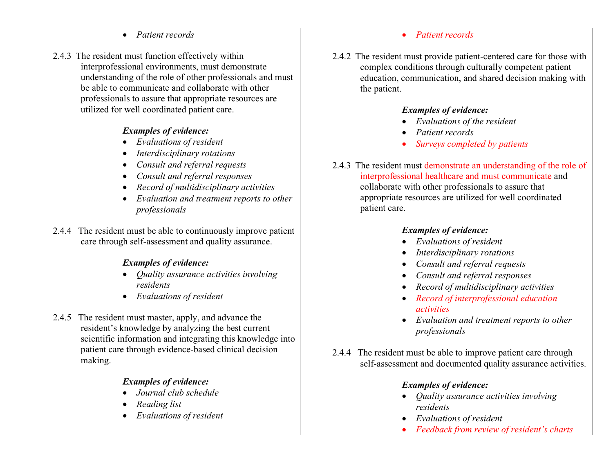#### • *Patient records*

2.4.3 The resident must function effectively within interprofessional environments, must demonstrate understanding of the role of other professionals and must be able to communicate and collaborate with other professionals to assure that appropriate resources are utilized for well coordinated patient care.

#### *Examples of evidence:*

- *Evaluations of resident*
- *Interdisciplinary rotations*
- *Consult and referral requests*
- *Consult and referral responses*
- *Record of multidisciplinary activities*
- *Evaluation and treatment reports to other professionals*
- 2.4.4 The resident must be able to continuously improve patient care through self-assessment and quality assurance.

#### *Examples of evidence:*

- *Quality assurance activities involving residents*
- *Evaluations of resident*
- 2.4.5 The resident must master, apply, and advance the resident's knowledge by analyzing the best current scientific information and integrating this knowledge into patient care through evidence-based clinical decision making.

## *Examples of evidence:*

- *Journal club schedule*
- *Reading list*
- *Evaluations of resident*

#### • *Patient records*

2.4.2 The resident must provide patient-centered care for those with complex conditions through culturally competent patient education, communication, and shared decision making with the patient.

## *Examples of evidence:*

- *Evaluations of the resident*
- *Patient records*
- *Surveys completed by patients*
- 2.4.3 The resident must demonstrate an understanding of the role of interprofessional healthcare and must communicate and collaborate with other professionals to assure that appropriate resources are utilized for well coordinated patient care.

## *Examples of evidence:*

- *Evaluations of resident*
- *Interdisciplinary rotations*
- *Consult and referral requests*
- *Consult and referral responses*
- *Record of multidisciplinary activities*
- *Record of interprofessional education activities*
- *Evaluation and treatment reports to other professionals*
- 2.4.4 The resident must be able to improve patient care through self-assessment and documented quality assurance activities.

## *Examples of evidence:*

- *Quality assurance activities involving residents*
- *Evaluations of resident*
- *Feedback from review of resident's charts*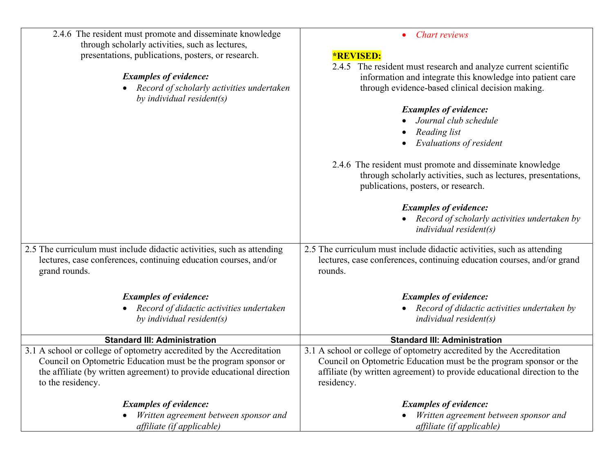| 2.4.6 The resident must promote and disseminate knowledge              | <b>Chart reviews</b>                                                     |
|------------------------------------------------------------------------|--------------------------------------------------------------------------|
| through scholarly activities, such as lectures,                        |                                                                          |
| presentations, publications, posters, or research.                     | <b>*REVISED:</b>                                                         |
|                                                                        | 2.4.5 The resident must research and analyze current scientific          |
| <b>Examples of evidence:</b>                                           | information and integrate this knowledge into patient care               |
| Record of scholarly activities undertaken<br>by individual resident(s) | through evidence-based clinical decision making.                         |
|                                                                        | <b>Examples of evidence:</b>                                             |
|                                                                        | Journal club schedule                                                    |
|                                                                        | Reading list                                                             |
|                                                                        | Evaluations of resident                                                  |
|                                                                        | 2.4.6 The resident must promote and disseminate knowledge                |
|                                                                        | through scholarly activities, such as lectures, presentations,           |
|                                                                        | publications, posters, or research.                                      |
|                                                                        | <b>Examples of evidence:</b>                                             |
|                                                                        | • Record of scholarly activities undertaken by                           |
|                                                                        | $individual$ resident $(s)$                                              |
| 2.5 The curriculum must include didactic activities, such as attending | 2.5 The curriculum must include didactic activities, such as attending   |
| lectures, case conferences, continuing education courses, and/or       | lectures, case conferences, continuing education courses, and/or grand   |
| grand rounds.                                                          | rounds.                                                                  |
| <b>Examples of evidence:</b>                                           | <b>Examples of evidence:</b>                                             |
| Record of didactic activities undertaken                               | Record of didactic activities undertaken by                              |
| by individual resident(s)                                              | $individual$ resident $(s)$                                              |
|                                                                        |                                                                          |
| <b>Standard III: Administration</b>                                    | <b>Standard III: Administration</b>                                      |
| 3.1 A school or college of optometry accredited by the Accreditation   | 3.1 A school or college of optometry accredited by the Accreditation     |
| Council on Optometric Education must be the program sponsor or         | Council on Optometric Education must be the program sponsor or the       |
| the affiliate (by written agreement) to provide educational direction  | affiliate (by written agreement) to provide educational direction to the |
| to the residency.                                                      | residency.                                                               |
| <b>Examples of evidence:</b>                                           | <b>Examples of evidence:</b>                                             |
| Written agreement between sponsor and                                  | Written agreement between sponsor and                                    |
| affiliate (if applicable)                                              | affiliate (if applicable)                                                |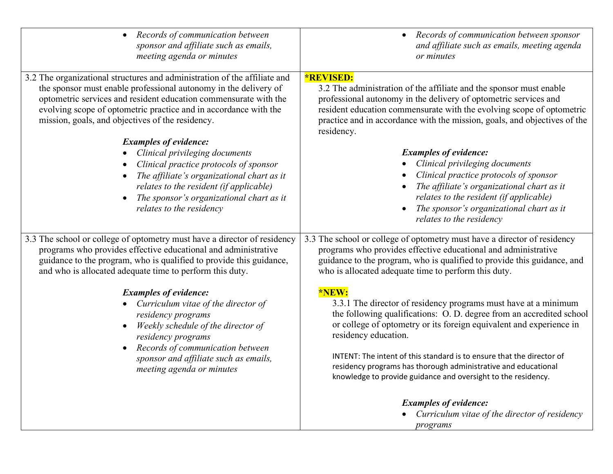| Records of communication between                                                                                                                                                                                                                                                                       | Records of communication between sponsor                                                                                                                                                                                                                                                                                                                                                                                                                    |
|--------------------------------------------------------------------------------------------------------------------------------------------------------------------------------------------------------------------------------------------------------------------------------------------------------|-------------------------------------------------------------------------------------------------------------------------------------------------------------------------------------------------------------------------------------------------------------------------------------------------------------------------------------------------------------------------------------------------------------------------------------------------------------|
| $\bullet$                                                                                                                                                                                                                                                                                              | $\bullet$                                                                                                                                                                                                                                                                                                                                                                                                                                                   |
| sponsor and affiliate such as emails,                                                                                                                                                                                                                                                                  | and affiliate such as emails, meeting agenda                                                                                                                                                                                                                                                                                                                                                                                                                |
| meeting agenda or minutes                                                                                                                                                                                                                                                                              | or minutes                                                                                                                                                                                                                                                                                                                                                                                                                                                  |
| 3.2 The organizational structures and administration of the affiliate and                                                                                                                                                                                                                              | <b>*REVISED:</b>                                                                                                                                                                                                                                                                                                                                                                                                                                            |
| the sponsor must enable professional autonomy in the delivery of                                                                                                                                                                                                                                       | 3.2 The administration of the affiliate and the sponsor must enable                                                                                                                                                                                                                                                                                                                                                                                         |
| optometric services and resident education commensurate with the                                                                                                                                                                                                                                       | professional autonomy in the delivery of optometric services and                                                                                                                                                                                                                                                                                                                                                                                            |
| evolving scope of optometric practice and in accordance with the                                                                                                                                                                                                                                       | resident education commensurate with the evolving scope of optometric                                                                                                                                                                                                                                                                                                                                                                                       |
| mission, goals, and objectives of the residency.                                                                                                                                                                                                                                                       | practice and in accordance with the mission, goals, and objectives of the                                                                                                                                                                                                                                                                                                                                                                                   |
| <b>Examples of evidence:</b>                                                                                                                                                                                                                                                                           | residency.                                                                                                                                                                                                                                                                                                                                                                                                                                                  |
| Clinical privileging documents<br>Clinical practice protocols of sponsor<br>The affiliate's organizational chart as it<br>relates to the resident (if applicable)<br>The sponsor's organizational chart as it<br>relates to the residency                                                              | <b>Examples of evidence:</b><br>Clinical privileging documents<br>Clinical practice protocols of sponsor<br>The affiliate's organizational chart as it<br>relates to the resident (if applicable)<br>The sponsor's organizational chart as it<br>relates to the residency                                                                                                                                                                                   |
| 3.3 The school or college of optometry must have a director of residency                                                                                                                                                                                                                               | 3.3 The school or college of optometry must have a director of residency                                                                                                                                                                                                                                                                                                                                                                                    |
| programs who provides effective educational and administrative                                                                                                                                                                                                                                         | programs who provides effective educational and administrative                                                                                                                                                                                                                                                                                                                                                                                              |
| guidance to the program, who is qualified to provide this guidance,                                                                                                                                                                                                                                    | guidance to the program, who is qualified to provide this guidance, and                                                                                                                                                                                                                                                                                                                                                                                     |
| and who is allocated adequate time to perform this duty.                                                                                                                                                                                                                                               | who is allocated adequate time to perform this duty.                                                                                                                                                                                                                                                                                                                                                                                                        |
| <b>Examples of evidence:</b><br>Curriculum vitae of the director of<br>$\bullet$<br>residency programs<br>Weekly schedule of the director of<br>$\bullet$<br>residency programs<br>Records of communication between<br>$\bullet$<br>sponsor and affiliate such as emails,<br>meeting agenda or minutes | *NEW:<br>3.3.1 The director of residency programs must have at a minimum<br>the following qualifications: O. D. degree from an accredited school<br>or college of optometry or its foreign equivalent and experience in<br>residency education.<br>INTENT: The intent of this standard is to ensure that the director of<br>residency programs has thorough administrative and educational<br>knowledge to provide guidance and oversight to the residency. |
|                                                                                                                                                                                                                                                                                                        | <b>Examples of evidence:</b><br>Curriculum vitae of the director of residency<br>programs                                                                                                                                                                                                                                                                                                                                                                   |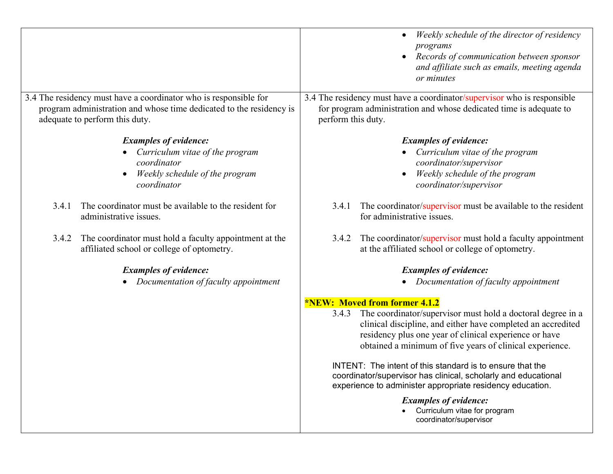|                                                                                                                                                                           | Weekly schedule of the director of residency<br>programs<br>Records of communication between sponsor<br>and affiliate such as emails, meeting agenda<br>or minutes                                                                                         |
|---------------------------------------------------------------------------------------------------------------------------------------------------------------------------|------------------------------------------------------------------------------------------------------------------------------------------------------------------------------------------------------------------------------------------------------------|
| 3.4 The residency must have a coordinator who is responsible for<br>program administration and whose time dedicated to the residency is<br>adequate to perform this duty. | 3.4 The residency must have a coordinator/supervisor who is responsible<br>for program administration and whose dedicated time is adequate to<br>perform this duty.                                                                                        |
| <b>Examples of evidence:</b><br>Curriculum vitae of the program<br>coordinator<br>Weekly schedule of the program<br>$\bullet$<br>coordinator                              | <b>Examples of evidence:</b><br>Curriculum vitae of the program<br>coordinator/supervisor<br>Weekly schedule of the program<br>coordinator/supervisor                                                                                                      |
| The coordinator must be available to the resident for<br>3.4.1<br>administrative issues.                                                                                  | The coordinator/supervisor must be available to the resident<br>3.4.1<br>for administrative issues.                                                                                                                                                        |
| The coordinator must hold a faculty appointment at the<br>3.4.2<br>affiliated school or college of optometry.                                                             | The coordinator/supervisor must hold a faculty appointment<br>3.4.2<br>at the affiliated school or college of optometry.                                                                                                                                   |
| <b>Examples of evidence:</b><br>Documentation of faculty appointment                                                                                                      | <b>Examples of evidence:</b><br>Documentation of faculty appointment                                                                                                                                                                                       |
|                                                                                                                                                                           | <b>*NEW: Moved from former 4.1.2</b>                                                                                                                                                                                                                       |
|                                                                                                                                                                           | The coordinator/supervisor must hold a doctoral degree in a<br>3.4.3<br>clinical discipline, and either have completed an accredited<br>residency plus one year of clinical experience or have<br>obtained a minimum of five years of clinical experience. |
|                                                                                                                                                                           | INTENT: The intent of this standard is to ensure that the<br>coordinator/supervisor has clinical, scholarly and educational<br>experience to administer appropriate residency education.                                                                   |
|                                                                                                                                                                           | <b>Examples of evidence:</b><br>• Curriculum vitae for program<br>coordinator/supervisor                                                                                                                                                                   |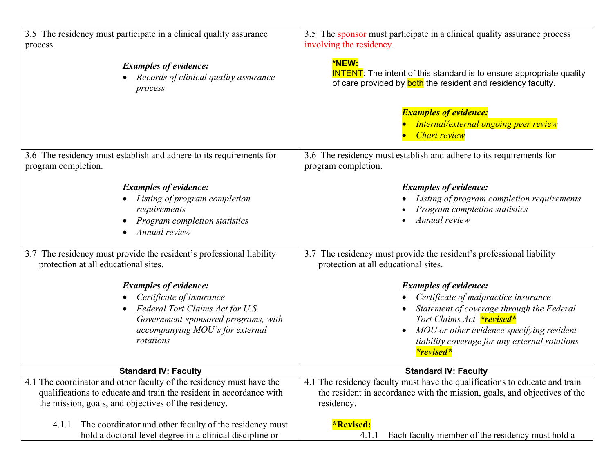| 3.5 The residency must participate in a clinical quality assurance                                                                                                                  | 3.5 The sponsor must participate in a clinical quality assurance process                                                                                                                                                                                                |
|-------------------------------------------------------------------------------------------------------------------------------------------------------------------------------------|-------------------------------------------------------------------------------------------------------------------------------------------------------------------------------------------------------------------------------------------------------------------------|
| process.                                                                                                                                                                            | involving the residency.                                                                                                                                                                                                                                                |
| <b>Examples of evidence:</b>                                                                                                                                                        | *NEW:                                                                                                                                                                                                                                                                   |
| Records of clinical quality assurance                                                                                                                                               | <b>INTENT</b> : The intent of this standard is to ensure appropriate quality                                                                                                                                                                                            |
| process                                                                                                                                                                             | of care provided by <b>both</b> the resident and residency faculty.                                                                                                                                                                                                     |
|                                                                                                                                                                                     | <b>Examples of evidence:</b><br>Internal/external ongoing peer review<br><b>Chart review</b>                                                                                                                                                                            |
| 3.6 The residency must establish and adhere to its requirements for                                                                                                                 | 3.6 The residency must establish and adhere to its requirements for                                                                                                                                                                                                     |
| program completion.                                                                                                                                                                 | program completion.                                                                                                                                                                                                                                                     |
| <b>Examples of evidence:</b><br>Listing of program completion<br>requirements<br>Program completion statistics<br>Annual review                                                     | <b>Examples of evidence:</b><br>Listing of program completion requirements<br>Program completion statistics<br>Annual review                                                                                                                                            |
| 3.7 The residency must provide the resident's professional liability                                                                                                                | 3.7 The residency must provide the resident's professional liability                                                                                                                                                                                                    |
| protection at all educational sites.                                                                                                                                                | protection at all educational sites.                                                                                                                                                                                                                                    |
| <b>Examples of evidence:</b><br>Certificate of insurance<br>Federal Tort Claims Act for U.S.<br>Government-sponsored programs, with<br>accompanying MOU's for external<br>rotations | <b>Examples of evidence:</b><br>Certificate of malpractice insurance<br>Statement of coverage through the Federal<br>Tort Claims Act <b>*revised*</b><br>MOU or other evidence specifying resident<br>liability coverage for any external rotations<br><i>*revised*</i> |
| <b>Standard IV: Faculty</b>                                                                                                                                                         | <b>Standard IV: Faculty</b>                                                                                                                                                                                                                                             |
| 4.1 The coordinator and other faculty of the residency must have the                                                                                                                | 4.1 The residency faculty must have the qualifications to educate and train                                                                                                                                                                                             |
| qualifications to educate and train the resident in accordance with                                                                                                                 | the resident in accordance with the mission, goals, and objectives of the                                                                                                                                                                                               |
| the mission, goals, and objectives of the residency.                                                                                                                                | residency.                                                                                                                                                                                                                                                              |
| The coordinator and other faculty of the residency must                                                                                                                             | <b>*Revised:</b>                                                                                                                                                                                                                                                        |
| 4.1.1                                                                                                                                                                               | Each faculty member of the residency must hold a                                                                                                                                                                                                                        |
| hold a doctoral level degree in a clinical discipline or                                                                                                                            | 4.1.1                                                                                                                                                                                                                                                                   |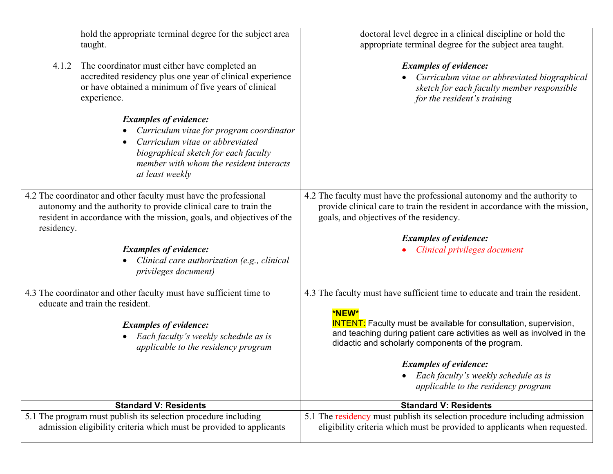| hold the appropriate terminal degree for the subject area<br>taught.                                                                                                                                                        | doctoral level degree in a clinical discipline or hold the<br>appropriate terminal degree for the subject area taught.                                                                                          |
|-----------------------------------------------------------------------------------------------------------------------------------------------------------------------------------------------------------------------------|-----------------------------------------------------------------------------------------------------------------------------------------------------------------------------------------------------------------|
| The coordinator must either have completed an<br>4.1.2<br>accredited residency plus one year of clinical experience<br>or have obtained a minimum of five years of clinical<br>experience.                                  | <b>Examples of evidence:</b><br>• Curriculum vitae or abbreviated biographical<br>sketch for each faculty member responsible<br>for the resident's training                                                     |
| <b>Examples of evidence:</b><br>Curriculum vitae for program coordinator<br>Curriculum vitae or abbreviated<br>biographical sketch for each faculty<br>member with whom the resident interacts<br>at least weekly           |                                                                                                                                                                                                                 |
| 4.2 The coordinator and other faculty must have the professional<br>autonomy and the authority to provide clinical care to train the<br>resident in accordance with the mission, goals, and objectives of the<br>residency. | 4.2 The faculty must have the professional autonomy and the authority to<br>provide clinical care to train the resident in accordance with the mission,<br>goals, and objectives of the residency.              |
|                                                                                                                                                                                                                             | <b>Examples of evidence:</b>                                                                                                                                                                                    |
|                                                                                                                                                                                                                             |                                                                                                                                                                                                                 |
| <b>Examples of evidence:</b><br>Clinical care authorization (e.g., clinical<br>privileges document)                                                                                                                         | Clinical privileges document                                                                                                                                                                                    |
| 4.3 The coordinator and other faculty must have sufficient time to                                                                                                                                                          | 4.3 The faculty must have sufficient time to educate and train the resident.                                                                                                                                    |
| educate and train the resident.<br><b>Examples of evidence:</b><br>Each faculty's weekly schedule as is<br>applicable to the residency program                                                                              | *NEW*<br><b>INTENT:</b> Faculty must be available for consultation, supervision,<br>and teaching during patient care activities as well as involved in the<br>didactic and scholarly components of the program. |
|                                                                                                                                                                                                                             | <b>Examples of evidence:</b>                                                                                                                                                                                    |
|                                                                                                                                                                                                                             | Each faculty's weekly schedule as is<br>applicable to the residency program                                                                                                                                     |
| <b>Standard V: Residents</b>                                                                                                                                                                                                | <b>Standard V: Residents</b>                                                                                                                                                                                    |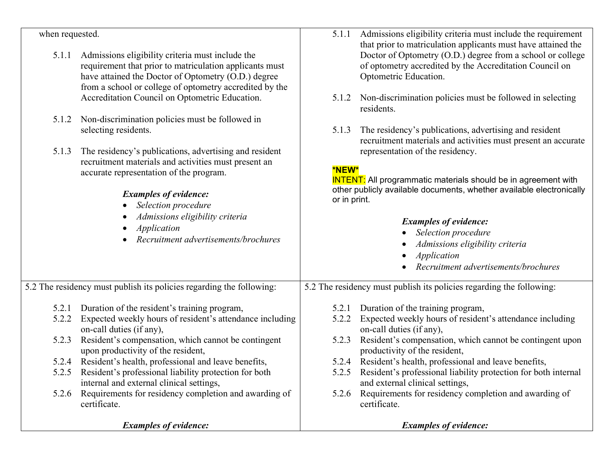| when requested. |                                                                                                                                                                                                                               | 5.1.1        | Admissions eligibility criteria must include the requirement                                                                                                                                                    |
|-----------------|-------------------------------------------------------------------------------------------------------------------------------------------------------------------------------------------------------------------------------|--------------|-----------------------------------------------------------------------------------------------------------------------------------------------------------------------------------------------------------------|
| 5.1.1           | Admissions eligibility criteria must include the<br>requirement that prior to matriculation applicants must<br>have attained the Doctor of Optometry (O.D.) degree<br>from a school or college of optometry accredited by the |              | that prior to matriculation applicants must have attained the<br>Doctor of Optometry (O.D.) degree from a school or college<br>of optometry accredited by the Accreditation Council on<br>Optometric Education. |
|                 | Accreditation Council on Optometric Education.                                                                                                                                                                                | 5.1.2        | Non-discrimination policies must be followed in selecting<br>residents.                                                                                                                                         |
|                 | 5.1.2 Non-discrimination policies must be followed in                                                                                                                                                                         |              |                                                                                                                                                                                                                 |
|                 | selecting residents.                                                                                                                                                                                                          | 5.1.3        | The residency's publications, advertising and resident<br>recruitment materials and activities must present an accurate                                                                                         |
| 5.1.3           | The residency's publications, advertising and resident                                                                                                                                                                        |              | representation of the residency.                                                                                                                                                                                |
|                 | recruitment materials and activities must present an                                                                                                                                                                          |              |                                                                                                                                                                                                                 |
|                 | accurate representation of the program.                                                                                                                                                                                       | <b>*NEW*</b> |                                                                                                                                                                                                                 |
|                 |                                                                                                                                                                                                                               |              | <b>INTENT:</b> All programmatic materials should be in agreement with                                                                                                                                           |
|                 | <b>Examples of evidence:</b>                                                                                                                                                                                                  |              | other publicly available documents, whether available electronically                                                                                                                                            |
|                 | Selection procedure                                                                                                                                                                                                           | or in print. |                                                                                                                                                                                                                 |
|                 | Admissions eligibility criteria<br>$\bullet$                                                                                                                                                                                  |              |                                                                                                                                                                                                                 |
|                 | Application                                                                                                                                                                                                                   |              | <b>Examples of evidence:</b>                                                                                                                                                                                    |
|                 | Recruitment advertisements/brochures                                                                                                                                                                                          |              | Selection procedure                                                                                                                                                                                             |
|                 |                                                                                                                                                                                                                               |              | Admissions eligibility criteria                                                                                                                                                                                 |
|                 |                                                                                                                                                                                                                               |              | Application                                                                                                                                                                                                     |
|                 |                                                                                                                                                                                                                               |              | Recruitment advertisements/brochures                                                                                                                                                                            |
|                 | 5.2 The residency must publish its policies regarding the following:                                                                                                                                                          |              | 5.2 The residency must publish its policies regarding the following:                                                                                                                                            |
| 5.2.1           | Duration of the resident's training program,                                                                                                                                                                                  |              | 5.2.1 Duration of the training program,                                                                                                                                                                         |
| 5.2.2           | Expected weekly hours of resident's attendance including                                                                                                                                                                      | 5.2.2        | Expected weekly hours of resident's attendance including                                                                                                                                                        |
|                 | on-call duties (if any),                                                                                                                                                                                                      |              | on-call duties (if any),                                                                                                                                                                                        |
| 5.2.3           | Resident's compensation, which cannot be contingent                                                                                                                                                                           | 5.2.3        | Resident's compensation, which cannot be contingent upon                                                                                                                                                        |
|                 | upon productivity of the resident,                                                                                                                                                                                            |              | productivity of the resident,                                                                                                                                                                                   |
|                 | 5.2.4 Resident's health, professional and leave benefits,                                                                                                                                                                     |              | 5.2.4 Resident's health, professional and leave benefits,                                                                                                                                                       |
| 5.2.5           | Resident's professional liability protection for both                                                                                                                                                                         |              | 5.2.5 Resident's professional liability protection for both internal                                                                                                                                            |
|                 | internal and external clinical settings,                                                                                                                                                                                      |              | and external clinical settings,                                                                                                                                                                                 |
| 5.2.6           | Requirements for residency completion and awarding of                                                                                                                                                                         |              | 5.2.6 Requirements for residency completion and awarding of                                                                                                                                                     |
|                 | certificate.                                                                                                                                                                                                                  |              | certificate.                                                                                                                                                                                                    |
|                 |                                                                                                                                                                                                                               |              |                                                                                                                                                                                                                 |
|                 | <b>Examples of evidence:</b>                                                                                                                                                                                                  |              | <b>Examples of evidence:</b>                                                                                                                                                                                    |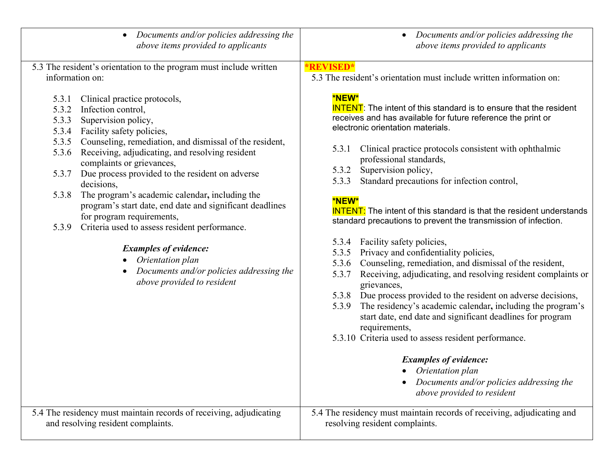| Documents and/or policies addressing the<br>$\bullet$<br>above items provided to applicants                                                               | • Documents and/or policies addressing the<br>above items provided to applicants                                                                                                                                       |
|-----------------------------------------------------------------------------------------------------------------------------------------------------------|------------------------------------------------------------------------------------------------------------------------------------------------------------------------------------------------------------------------|
| 5.3 The resident's orientation to the program must include written<br>information on:                                                                     | <b>*REVISED*</b><br>5.3 The resident's orientation must include written information on:                                                                                                                                |
| Clinical practice protocols,<br>5.3.1<br>Infection control,<br>5.3.2<br>Supervision policy,<br>5.3.3<br>Facility safety policies,<br>5.3.4                | <b>*NEW*</b><br><b>INTENT:</b> The intent of this standard is to ensure that the resident<br>receives and has available for future reference the print or<br>electronic orientation materials.                         |
| Counseling, remediation, and dismissal of the resident,<br>5.3.5<br>Receiving, adjudicating, and resolving resident<br>5.3.6<br>complaints or grievances, | Clinical practice protocols consistent with ophthalmic<br>5.3.1<br>professional standards,                                                                                                                             |
| Due process provided to the resident on adverse<br>5.3.7<br>decisions,                                                                                    | Supervision policy,<br>5.3.2<br>Standard precautions for infection control,<br>5.3.3                                                                                                                                   |
| The program's academic calendar, including the<br>5.3.8<br>program's start date, end date and significant deadlines<br>for program requirements,          | *NEW*<br><b>INTENT:</b> The intent of this standard is that the resident understands<br>standard precautions to prevent the transmission of infection.                                                                 |
| Criteria used to assess resident performance.<br>5.3.9                                                                                                    | Facility safety policies,<br>5.3.4                                                                                                                                                                                     |
| <b>Examples of evidence:</b><br>Orientation plan<br>Documents and/or policies addressing the                                                              | Privacy and confidentiality policies,<br>5.3.5<br>Counseling, remediation, and dismissal of the resident,<br>5.3.6                                                                                                     |
| above provided to resident                                                                                                                                | Receiving, adjudicating, and resolving resident complaints or<br>5.3.7<br>grievances,                                                                                                                                  |
|                                                                                                                                                           | 5.3.8 Due process provided to the resident on adverse decisions,<br>The residency's academic calendar, including the program's<br>5.3.9<br>start date, end date and significant deadlines for program<br>requirements, |
|                                                                                                                                                           | 5.3.10 Criteria used to assess resident performance.                                                                                                                                                                   |
|                                                                                                                                                           | <b>Examples of evidence:</b>                                                                                                                                                                                           |
|                                                                                                                                                           | • Orientation plan<br>Documents and/or policies addressing the<br>above provided to resident                                                                                                                           |
| 5.4 The residency must maintain records of receiving, adjudicating<br>and resolving resident complaints.                                                  | 5.4 The residency must maintain records of receiving, adjudicating and<br>resolving resident complaints.                                                                                                               |